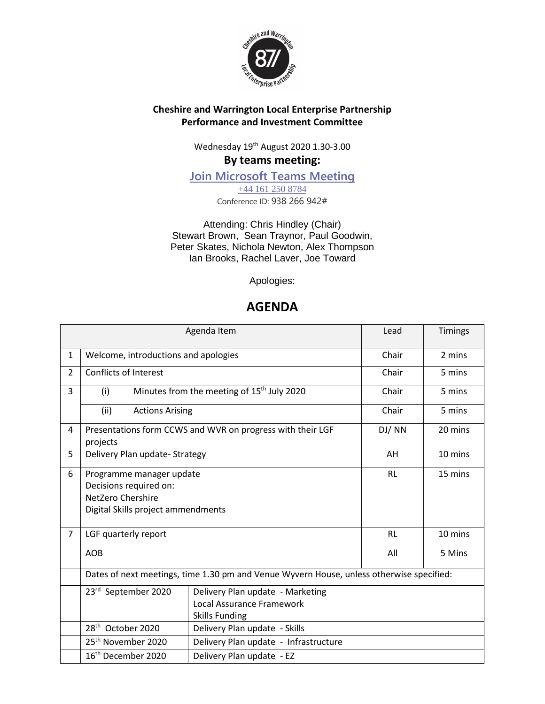

#### **Cheshire and Warrington Local Enterprise Partnership Performance and Investment Committee**

Wednesday 19th August 2020 1.30-3.00

## **By teams meeting:**

**[Join Microsoft Teams Meeting](https://teams.microsoft.com/l/meetup-join/19%3ameeting_ZWEyMzIwOGUtYmNiMC00MzMyLWIyNTktOGVlMDZhMDllZGQ2%40thread.v2/0?context=%7b%22Tid%22%3a%229fdc30f0-07e8-4ece-96e4-5daef8d479d1%22%2c%22Oid%22%3a%22688113fc-1b6a-47a8-98ef-0805839f6ccf%22%7d)** [+44 161 250 8784](tel:+44%20161%20250%208784,,938266942#%20) Conference ID: 938 266 942#

Attending: Chris Hindley (Chair) Stewart Brown, Sean Traynor, Paul Goodwin, Peter Skates, Nichola Newton, Alex Thompson Ian Brooks, Rachel Laver, Joe Toward

Apologies:

# **AGENDA**

|                |                                                                                                               | Agenda Item                                                                              | Lead      | <b>Timings</b> |
|----------------|---------------------------------------------------------------------------------------------------------------|------------------------------------------------------------------------------------------|-----------|----------------|
| $\mathbf{1}$   | Welcome, introductions and apologies                                                                          | Chair                                                                                    | 2 mins    |                |
| $\overline{2}$ | <b>Conflicts of Interest</b>                                                                                  |                                                                                          | Chair     | 5 mins         |
| 3              | (i)                                                                                                           | Minutes from the meeting of 15 <sup>th</sup> July 2020                                   | Chair     | 5 mins         |
|                | (ii)<br><b>Actions Arising</b>                                                                                |                                                                                          | Chair     | 5 mins         |
| 4              | projects                                                                                                      | Presentations form CCWS and WVR on progress with their LGF                               | DJ/NN     | 20 mins        |
| 5              | Delivery Plan update- Strategy                                                                                |                                                                                          | AH        | 10 mins        |
| 6              | Programme manager update<br>Decisions required on:<br>NetZero Chershire<br>Digital Skills project ammendments |                                                                                          | <b>RL</b> | 15 mins        |
| $\overline{7}$ | LGF quarterly report                                                                                          |                                                                                          | <b>RL</b> | 10 mins        |
|                | <b>AOB</b>                                                                                                    |                                                                                          | All       | 5 Mins         |
|                |                                                                                                               | Dates of next meetings, time 1.30 pm and Venue Wyvern House, unless otherwise specified: |           |                |
|                | 23rd September 2020                                                                                           | Delivery Plan update - Marketing<br>Local Assurance Framework<br><b>Skills Funding</b>   |           |                |
|                | 28 <sup>th</sup> October 2020                                                                                 | Delivery Plan update - Skills                                                            |           |                |
|                | 25 <sup>th</sup> November 2020                                                                                | Delivery Plan update - Infrastructure                                                    |           |                |
|                | 16 <sup>th</sup> December 2020                                                                                | Delivery Plan update - EZ                                                                |           |                |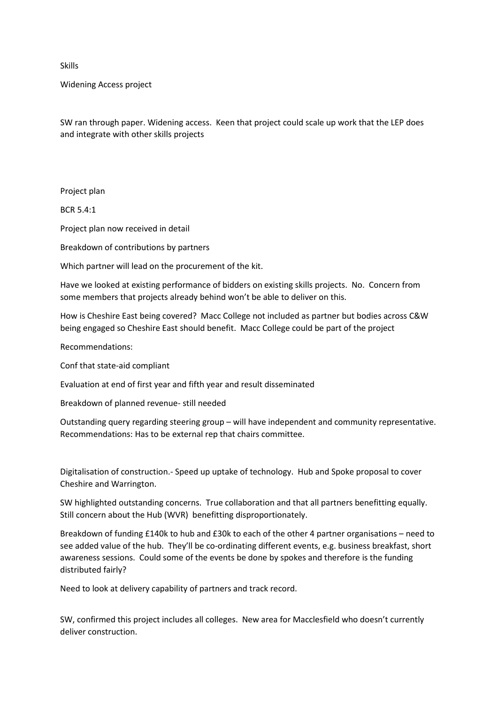Skills

Widening Access project

SW ran through paper. Widening access. Keen that project could scale up work that the LEP does and integrate with other skills projects

Project plan

 $RCR 5.4:1$ 

Project plan now received in detail

Breakdown of contributions by partners

Which partner will lead on the procurement of the kit.

Have we looked at existing performance of bidders on existing skills projects. No. Concern from some members that projects already behind won't be able to deliver on this.

How is Cheshire East being covered? Macc College not included as partner but bodies across C&W being engaged so Cheshire East should benefit. Macc College could be part of the project

Recommendations:

Conf that state-aid compliant

Evaluation at end of first year and fifth year and result disseminated

Breakdown of planned revenue- still needed

Outstanding query regarding steering group – will have independent and community representative. Recommendations: Has to be external rep that chairs committee.

Digitalisation of construction.- Speed up uptake of technology. Hub and Spoke proposal to cover Cheshire and Warrington.

SW highlighted outstanding concerns. True collaboration and that all partners benefitting equally. Still concern about the Hub (WVR) benefitting disproportionately.

Breakdown of funding £140k to hub and £30k to each of the other 4 partner organisations – need to see added value of the hub. They'll be co-ordinating different events, e.g. business breakfast, short awareness sessions. Could some of the events be done by spokes and therefore is the funding distributed fairly?

Need to look at delivery capability of partners and track record.

SW, confirmed this project includes all colleges. New area for Macclesfield who doesn't currently deliver construction.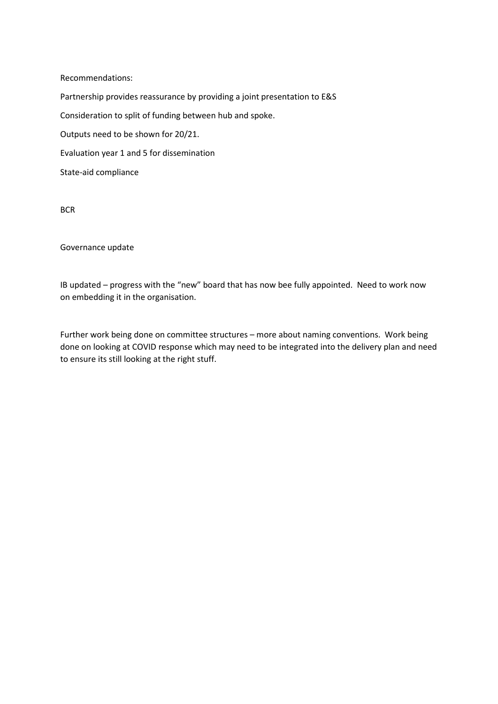Recommendations:

Partnership provides reassurance by providing a joint presentation to E&S Consideration to split of funding between hub and spoke. Outputs need to be shown for 20/21. Evaluation year 1 and 5 for dissemination State-aid compliance

**BCR** 

Governance update

IB updated – progress with the "new" board that has now bee fully appointed. Need to work now on embedding it in the organisation.

Further work being done on committee structures – more about naming conventions. Work being done on looking at COVID response which may need to be integrated into the delivery plan and need to ensure its still looking at the right stuff.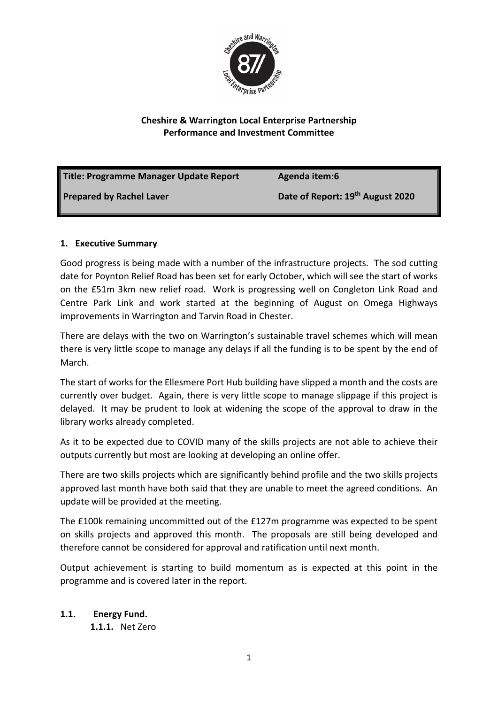

### **Cheshire & Warrington Local Enterprise Partnership Performance and Investment Committee**

| <b>Title: Programme Manager Update Report</b> | Agenda item:6                    |
|-----------------------------------------------|----------------------------------|
| Prepared by Rachel Laver                      | Date of Report: 19th August 2020 |

### **1. Executive Summary**

Good progress is being made with a number of the infrastructure projects. The sod cutting date for Poynton Relief Road has been set for early October, which will see the start of works on the £51m 3km new relief road. Work is progressing well on Congleton Link Road and Centre Park Link and work started at the beginning of August on Omega Highways improvements in Warrington and Tarvin Road in Chester.

There are delays with the two on Warrington's sustainable travel schemes which will mean there is very little scope to manage any delays if all the funding is to be spent by the end of March.

The start of works for the Ellesmere Port Hub building have slipped a month and the costs are currently over budget. Again, there is very little scope to manage slippage if this project is delayed. It may be prudent to look at widening the scope of the approval to draw in the library works already completed.

As it to be expected due to COVID many of the skills projects are not able to achieve their outputs currently but most are looking at developing an online offer.

There are two skills projects which are significantly behind profile and the two skills projects approved last month have both said that they are unable to meet the agreed conditions. An update will be provided at the meeting.

The £100k remaining uncommitted out of the £127m programme was expected to be spent on skills projects and approved this month. The proposals are still being developed and therefore cannot be considered for approval and ratification until next month.

Output achievement is starting to build momentum as is expected at this point in the programme and is covered later in the report.

### **1.1. Energy Fund.**

**1.1.1.** Net Zero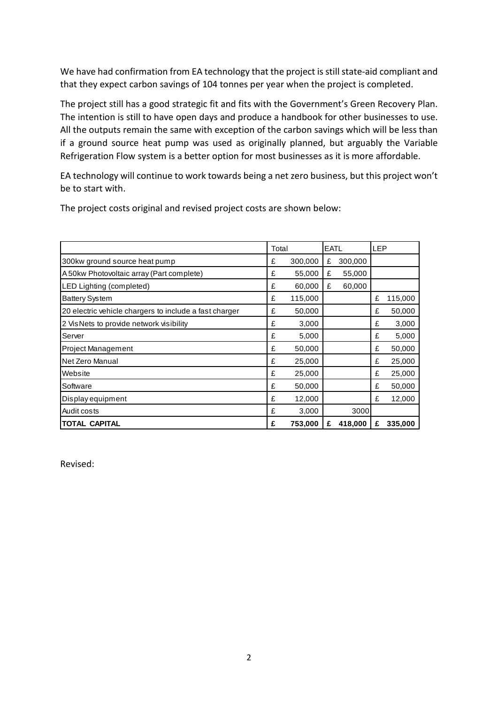We have had confirmation from EA technology that the project is still state-aid compliant and that they expect carbon savings of 104 tonnes per year when the project is completed.

The project still has a good strategic fit and fits with the Government's Green Recovery Plan. The intention is still to have open days and produce a handbook for other businesses to use. All the outputs remain the same with exception of the carbon savings which will be less than if a ground source heat pump was used as originally planned, but arguably the Variable Refrigeration Flow system is a better option for most businesses as it is more affordable.

EA technology will continue to work towards being a net zero business, but this project won't be to start with.

|                                                        | Total |         | <b>EATL</b> |         | <b>LEP</b> |         |
|--------------------------------------------------------|-------|---------|-------------|---------|------------|---------|
| 300kw ground source heat pump                          | £     | 300,000 | £           | 300,000 |            |         |
| A 50kw Photovoltaic array (Part complete)              | £     | 55,000  | £           | 55,000  |            |         |
| LED Lighting (completed)                               | £     | 60,000  | £           | 60,000  |            |         |
| <b>Battery System</b>                                  | £     | 115,000 |             |         | £          | 115,000 |
| 20 electric vehicle chargers to include a fast charger | £     | 50,000  |             |         | £          | 50,000  |
| 2 VisNets to provide network visibility                | £     | 3,000   |             |         | £          | 3,000   |
| Server                                                 | £     | 5,000   |             |         | £          | 5,000   |
| <b>Project Management</b>                              | £     | 50,000  |             |         | £          | 50,000  |
| Net Zero Manual                                        | £     | 25,000  |             |         | £          | 25,000  |
| Website                                                | £     | 25,000  |             |         | £          | 25,000  |
| Software                                               | £     | 50,000  |             |         | £          | 50,000  |
| Display equipment                                      | £     | 12,000  |             |         | £          | 12,000  |
| Audit costs                                            | £     | 3,000   |             | 3000    |            |         |
| <b>TOTAL CAPITAL</b>                                   | £     | 753,000 | £           | 418,000 | £          | 335,000 |

i<br>I

The project costs original and revised project costs are shown below:

Revised: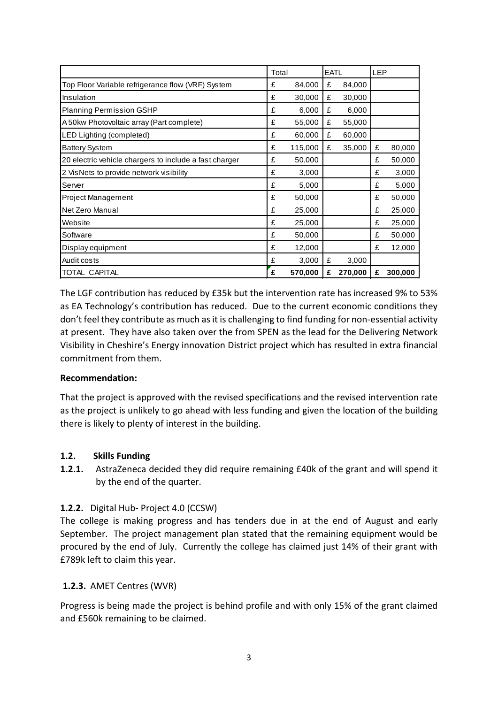|                                                        | Total |         | <b>EATL</b> |         | <b>LEP</b> |         |
|--------------------------------------------------------|-------|---------|-------------|---------|------------|---------|
| Top Floor Variable refrigerance flow (VRF) System      | £     | 84,000  | £           | 84,000  |            |         |
| Insulation                                             | £     | 30,000  | £           | 30,000  |            |         |
| <b>Planning Permission GSHP</b>                        | £     | 6,000   | £           | 6,000   |            |         |
| A 50kw Photovoltaic array (Part complete)              | £     | 55,000  | £           | 55,000  |            |         |
| LED Lighting (completed)                               | £     | 60,000  | £           | 60,000  |            |         |
| <b>Battery System</b>                                  | £     | 115,000 | £           | 35,000  | £          | 80,000  |
| 20 electric vehicle chargers to include a fast charger | £     | 50,000  |             |         | £          | 50,000  |
| 2 VisNets to provide network visibility                | £     | 3,000   |             |         | £          | 3,000   |
| Server                                                 | £     | 5,000   |             |         | £          | 5,000   |
| Project Management                                     | £     | 50,000  |             |         | £          | 50,000  |
| Net Zero Manual                                        | £     | 25,000  |             |         | £          | 25,000  |
| Website                                                | £     | 25,000  |             |         | £          | 25,000  |
| Software                                               | £     | 50,000  |             |         | £          | 50,000  |
| Display equipment                                      | £     | 12,000  |             |         | £          | 12,000  |
| Audit costs                                            | £     | 3,000   | £           | 3,000   |            |         |
| TOTAL CAPITAL                                          | £     | 570,000 | £           | 270,000 | £          | 300,000 |

The LGF contribution has reduced by £35k but the intervention rate has increased 9% to 53% as EA Technology's contribution has reduced. Due to the current economic conditions they don't feel they contribute as much as it is challenging to find funding for non-essential activity at present. They have also taken over the from SPEN as the lead for the Delivering Network Visibility in Cheshire's Energy innovation District project which has resulted in extra financial commitment from them.

### **Recommendation:**

That the project is approved with the revised specifications and the revised intervention rate as the project is unlikely to go ahead with less funding and given the location of the building there is likely to plenty of interest in the building.

### **1.2. Skills Funding**

**1.2.1.** AstraZeneca decided they did require remaining £40k of the grant and will spend it by the end of the quarter.

### **1.2.2.** Digital Hub- Project 4.0 (CCSW)

The college is making progress and has tenders due in at the end of August and early September. The project management plan stated that the remaining equipment would be procured by the end of July. Currently the college has claimed just 14% of their grant with £789k left to claim this year.

### **1.2.3.** AMET Centres (WVR)

Progress is being made the project is behind profile and with only 15% of the grant claimed and £560k remaining to be claimed.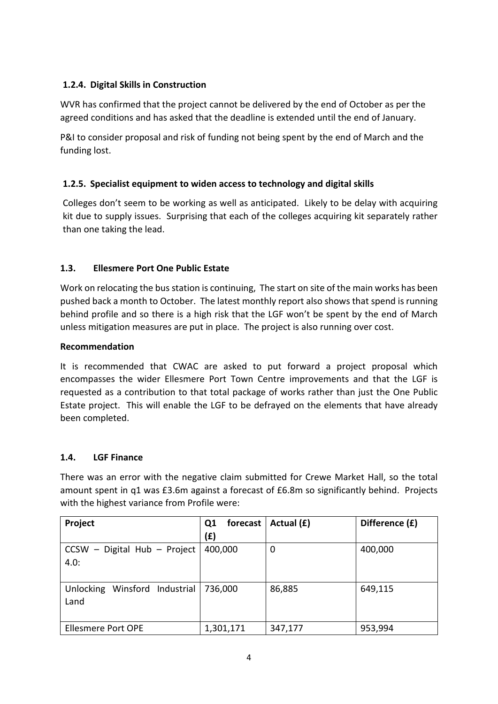### **1.2.4. Digital Skills in Construction**

WVR has confirmed that the project cannot be delivered by the end of October as per the agreed conditions and has asked that the deadline is extended until the end of January.

P&I to consider proposal and risk of funding not being spent by the end of March and the funding lost.

### **1.2.5. Specialist equipment to widen access to technology and digital skills**

Colleges don't seem to be working as well as anticipated. Likely to be delay with acquiring kit due to supply issues. Surprising that each of the colleges acquiring kit separately rather than one taking the lead.

### **1.3. Ellesmere Port One Public Estate**

Work on relocating the bus station is continuing, The start on site of the main works has been pushed back a month to October. The latest monthly report also shows that spend is running behind profile and so there is a high risk that the LGF won't be spent by the end of March unless mitigation measures are put in place. The project is also running over cost.

### **Recommendation**

It is recommended that CWAC are asked to put forward a project proposal which encompasses the wider Ellesmere Port Town Centre improvements and that the LGF is requested as a contribution to that total package of works rather than just the One Public Estate project. This will enable the LGF to be defrayed on the elements that have already been completed.

### **1.4. LGF Finance**

There was an error with the negative claim submitted for Crewe Market Hall, so the total amount spent in q1 was £3.6m against a forecast of £6.8m so significantly behind. Projects with the highest variance from Profile were:

| Project                                 | forecast<br>Q1 | Actual (£) | Difference (£) |
|-----------------------------------------|----------------|------------|----------------|
|                                         | (f)            |            |                |
| CCSW - Digital Hub - Project            | 400,000        | 0          | 400,000        |
| 4.0:                                    |                |            |                |
|                                         |                |            |                |
| Winsford Industrial<br><b>Unlocking</b> | 736,000        | 86,885     | 649,115        |
| Land                                    |                |            |                |
|                                         |                |            |                |
| <b>Ellesmere Port OPE</b>               | 1,301,171      | 347,177    | 953,994        |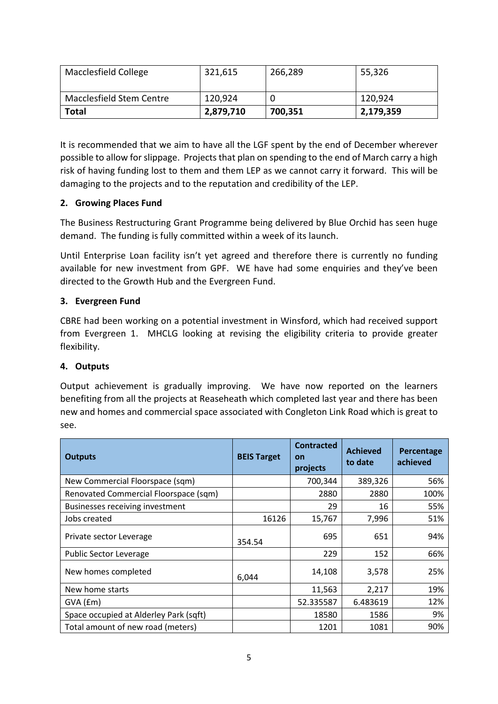| Macclesfield College     | 321,615   | 266,289 | 55,326    |  |
|--------------------------|-----------|---------|-----------|--|
| Macclesfield Stem Centre | 120,924   |         | 120,924   |  |
| Total                    | 2,879,710 | 700,351 | 2,179,359 |  |

It is recommended that we aim to have all the LGF spent by the end of December wherever possible to allow for slippage. Projects that plan on spending to the end of March carry a high risk of having funding lost to them and them LEP as we cannot carry it forward. This will be damaging to the projects and to the reputation and credibility of the LEP.

### **2. Growing Places Fund**

The Business Restructuring Grant Programme being delivered by Blue Orchid has seen huge demand. The funding is fully committed within a week of its launch.

Until Enterprise Loan facility isn't yet agreed and therefore there is currently no funding available for new investment from GPF. WE have had some enquiries and they've been directed to the Growth Hub and the Evergreen Fund.

### **3. Evergreen Fund**

CBRE had been working on a potential investment in Winsford, which had received support from Evergreen 1. MHCLG looking at revising the eligibility criteria to provide greater flexibility.

### **4. Outputs**

Output achievement is gradually improving. We have now reported on the learners benefiting from all the projects at Reaseheath which completed last year and there has been new and homes and commercial space associated with Congleton Link Road which is great to see.

| <b>Outputs</b>                         | <b>BEIS Target</b> | <b>Contracted</b><br>on<br>projects | <b>Achieved</b><br>to date | Percentage<br>achieved |
|----------------------------------------|--------------------|-------------------------------------|----------------------------|------------------------|
| New Commercial Floorspace (sqm)        |                    | 700,344                             | 389,326                    | 56%                    |
| Renovated Commercial Floorspace (sqm)  |                    | 2880                                | 2880                       | 100%                   |
| Businesses receiving investment        |                    | 29                                  | 16                         | 55%                    |
| Jobs created                           | 16126              | 15,767                              | 7,996                      | 51%                    |
| Private sector Leverage                | 354.54             | 695                                 | 651                        | 94%                    |
| <b>Public Sector Leverage</b>          |                    | 229                                 | 152                        | 66%                    |
| New homes completed                    | 6,044              | 14,108                              | 3,578                      | 25%                    |
| New home starts                        |                    | 11,563                              | 2,217                      | 19%                    |
| $GVA$ ( $Em$ )                         |                    | 52.335587                           | 6.483619                   | 12%                    |
| Space occupied at Alderley Park (sqft) |                    | 18580                               | 1586                       | 9%                     |
| Total amount of new road (meters)      |                    | 1201                                | 1081                       | 90%                    |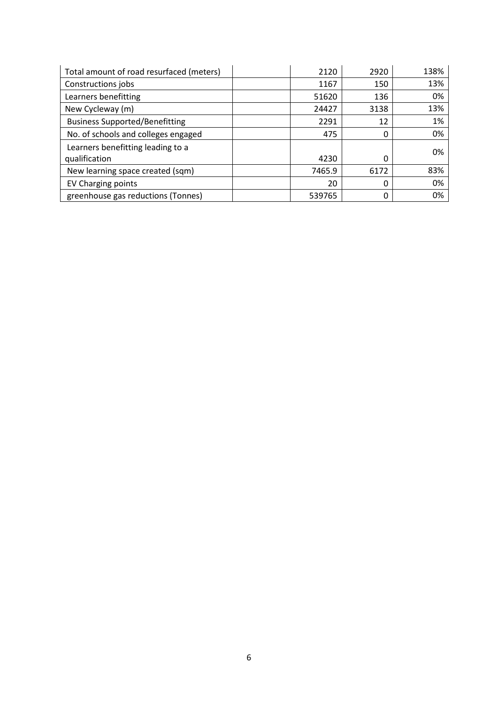| Total amount of road resurfaced (meters)           | 2120   | 2920 | 138% |
|----------------------------------------------------|--------|------|------|
| Constructions jobs                                 | 1167   | 150  | 13%  |
| Learners benefitting                               | 51620  | 136  | 0%   |
| New Cycleway (m)                                   | 24427  | 3138 | 13%  |
| <b>Business Supported/Benefitting</b>              | 2291   | 12   | 1%   |
| No. of schools and colleges engaged                | 475    | 0    | 0%   |
| Learners benefitting leading to a<br>qualification | 4230   | 0    | 0%   |
| New learning space created (sqm)                   | 7465.9 | 6172 | 83%  |
| EV Charging points                                 | 20     | 0    | 0%   |
| greenhouse gas reductions (Tonnes)                 | 539765 | 0    | 0%   |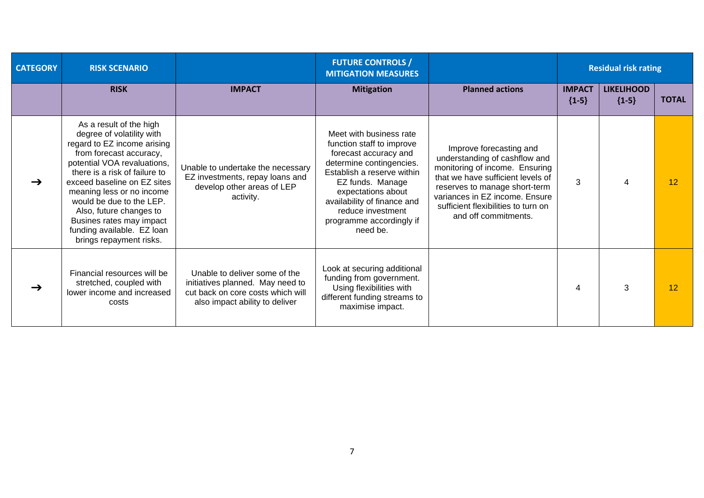| <b>CATEGORY</b> | <b>RISK SCENARIO</b>                                                                                                                                                                                                                                                                                                                                                                   |                                                                                                                                          | <b>FUTURE CONTROLS /</b><br><b>MITIGATION MEASURES</b>                                                                                                                                                                                                                        |                                                                                                                                                                                                                                                                   |                          | <b>Residual risk rating</b>  |              |
|-----------------|----------------------------------------------------------------------------------------------------------------------------------------------------------------------------------------------------------------------------------------------------------------------------------------------------------------------------------------------------------------------------------------|------------------------------------------------------------------------------------------------------------------------------------------|-------------------------------------------------------------------------------------------------------------------------------------------------------------------------------------------------------------------------------------------------------------------------------|-------------------------------------------------------------------------------------------------------------------------------------------------------------------------------------------------------------------------------------------------------------------|--------------------------|------------------------------|--------------|
|                 | <b>RISK</b>                                                                                                                                                                                                                                                                                                                                                                            | <b>IMPACT</b>                                                                                                                            | <b>Mitigation</b>                                                                                                                                                                                                                                                             | <b>Planned actions</b>                                                                                                                                                                                                                                            | <b>IMPACT</b><br>${1-5}$ | <b>LIKELIHOOD</b><br>${1-5}$ | <b>TOTAL</b> |
| $\rightarrow$   | As a result of the high<br>degree of volatility with<br>regard to EZ income arising<br>from forecast accuracy,<br>potential VOA revaluations,<br>there is a risk of failure to<br>exceed baseline on EZ sites<br>meaning less or no income<br>would be due to the LEP.<br>Also, future changes to<br>Busines rates may impact<br>funding available. EZ loan<br>brings repayment risks. | Unable to undertake the necessary<br>EZ investments, repay loans and<br>develop other areas of LEP<br>activity.                          | Meet with business rate<br>function staff to improve<br>forecast accuracy and<br>determine contingencies.<br>Establish a reserve within<br>EZ funds. Manage<br>expectations about<br>availability of finance and<br>reduce investment<br>programme accordingly if<br>need be. | Improve forecasting and<br>understanding of cashflow and<br>monitoring of income. Ensuring<br>that we have sufficient levels of<br>reserves to manage short-term<br>variances in EZ income. Ensure<br>sufficient flexibilities to turn on<br>and off commitments. | 3                        | 4                            | 12           |
| $\rightarrow$   | Financial resources will be<br>stretched, coupled with<br>lower income and increased<br>costs                                                                                                                                                                                                                                                                                          | Unable to deliver some of the<br>initiatives planned. May need to<br>cut back on core costs which will<br>also impact ability to deliver | Look at securing additional<br>funding from government.<br>Using flexibilities with<br>different funding streams to<br>maximise impact.                                                                                                                                       |                                                                                                                                                                                                                                                                   | 4                        | 3                            | 12           |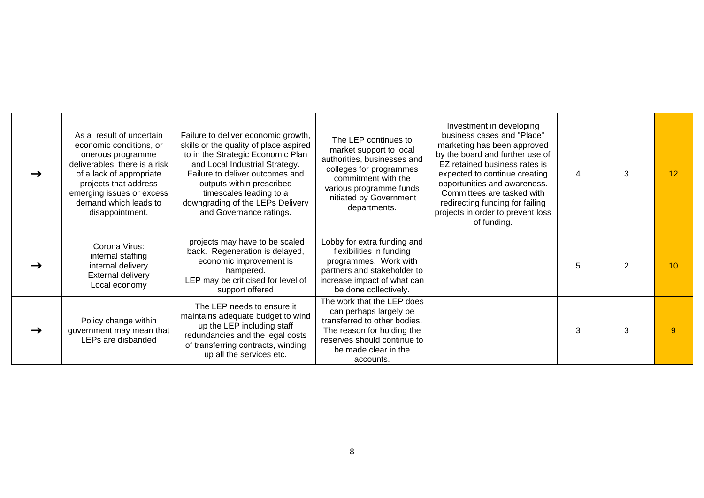|               | As a result of uncertain<br>economic conditions, or<br>onerous programme<br>deliverables, there is a risk<br>of a lack of appropriate<br>projects that address<br>emerging issues or excess<br>demand which leads to<br>disappointment. | Failure to deliver economic growth,<br>skills or the quality of place aspired<br>to in the Strategic Economic Plan<br>and Local Industrial Strategy.<br>Failure to deliver outcomes and<br>outputs within prescribed<br>timescales leading to a<br>downgrading of the LEPs Delivery<br>and Governance ratings. | The LEP continues to<br>market support to local<br>authorities, businesses and<br>colleges for programmes<br>commitment with the<br>various programme funds<br>initiated by Government<br>departments. | Investment in developing<br>business cases and "Place"<br>marketing has been approved<br>by the board and further use of<br>EZ retained business rates is<br>expected to continue creating<br>opportunities and awareness.<br>Committees are tasked with<br>redirecting funding for failing<br>projects in order to prevent loss<br>of funding. | 4 | 3             | 12              |
|---------------|-----------------------------------------------------------------------------------------------------------------------------------------------------------------------------------------------------------------------------------------|----------------------------------------------------------------------------------------------------------------------------------------------------------------------------------------------------------------------------------------------------------------------------------------------------------------|--------------------------------------------------------------------------------------------------------------------------------------------------------------------------------------------------------|-------------------------------------------------------------------------------------------------------------------------------------------------------------------------------------------------------------------------------------------------------------------------------------------------------------------------------------------------|---|---------------|-----------------|
| →             | Corona Virus:<br>internal staffing<br>internal delivery<br>External delivery<br>Local economy                                                                                                                                           | projects may have to be scaled<br>back. Regeneration is delayed,<br>economic improvement is<br>hampered.<br>LEP may be criticised for level of<br>support offered                                                                                                                                              | Lobby for extra funding and<br>flexibilities in funding<br>programmes. Work with<br>partners and stakeholder to<br>increase impact of what can<br>be done collectively.                                |                                                                                                                                                                                                                                                                                                                                                 | 5 | $\mathcal{P}$ | 10 <sup>1</sup> |
| $\rightarrow$ | Policy change within<br>government may mean that<br>LEPs are disbanded                                                                                                                                                                  | The LEP needs to ensure it<br>maintains adequate budget to wind<br>up the LEP including staff<br>redundancies and the legal costs<br>of transferring contracts, winding<br>up all the services etc.                                                                                                            | The work that the LEP does<br>can perhaps largely be<br>transferred to other bodies.<br>The reason for holding the<br>reserves should continue to<br>be made clear in the<br>accounts.                 |                                                                                                                                                                                                                                                                                                                                                 | 3 |               | $\mathbf{Q}$    |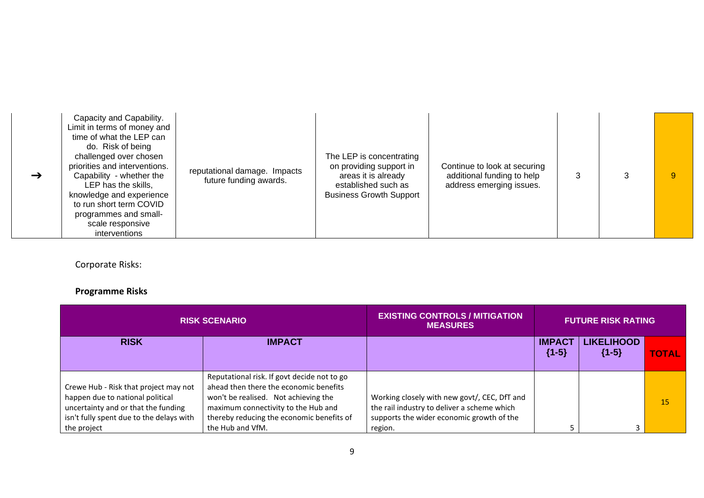| $\rightarrow$ | Capacity and Capability.<br>Limit in terms of money and<br>time of what the LEP can<br>do. Risk of being<br>challenged over chosen<br>priorities and interventions.<br>Capability - whether the<br>LEP has the skills,<br>knowledge and experience<br>to run short term COVID<br>programmes and small-<br>scale responsive<br>interventions | reputational damage. Impacts<br>future funding awards. | The LEP is concentrating<br>on providing support in<br>areas it is already<br>established such as<br><b>Business Growth Support</b> | Continue to look at securing<br>additional funding to help<br>address emerging issues. |  |  |  |
|---------------|---------------------------------------------------------------------------------------------------------------------------------------------------------------------------------------------------------------------------------------------------------------------------------------------------------------------------------------------|--------------------------------------------------------|-------------------------------------------------------------------------------------------------------------------------------------|----------------------------------------------------------------------------------------|--|--|--|
|---------------|---------------------------------------------------------------------------------------------------------------------------------------------------------------------------------------------------------------------------------------------------------------------------------------------------------------------------------------------|--------------------------------------------------------|-------------------------------------------------------------------------------------------------------------------------------------|----------------------------------------------------------------------------------------|--|--|--|

Corporate Risks:

## **Programme Risks**

| <b>RISK SCENARIO</b>                                                                                                                                         |                                                                                                                                                                                                                   | <b>EXISTING CONTROLS / MITIGATION</b><br><b>MEASURES</b>                                                                                 | <b>FUTURE RISK RATING</b> |                              |              |
|--------------------------------------------------------------------------------------------------------------------------------------------------------------|-------------------------------------------------------------------------------------------------------------------------------------------------------------------------------------------------------------------|------------------------------------------------------------------------------------------------------------------------------------------|---------------------------|------------------------------|--------------|
| <b>RISK</b>                                                                                                                                                  | <b>IMPACT</b>                                                                                                                                                                                                     |                                                                                                                                          | <b>IMPACT</b><br>${1-5}$  | <b>LIKELIHOOD</b><br>${1-5}$ | <b>TOTAL</b> |
| Crewe Hub - Risk that project may not<br>happen due to national political<br>uncertainty and or that the funding<br>isn't fully spent due to the delays with | Reputational risk. If govt decide not to go<br>ahead then there the economic benefits<br>won't be realised. Not achieving the<br>maximum connectivity to the Hub and<br>thereby reducing the economic benefits of | Working closely with new govt/, CEC, DfT and<br>the rail industry to deliver a scheme which<br>supports the wider economic growth of the |                           |                              | 15           |
| the project                                                                                                                                                  | the Hub and VfM.                                                                                                                                                                                                  | region.                                                                                                                                  |                           |                              |              |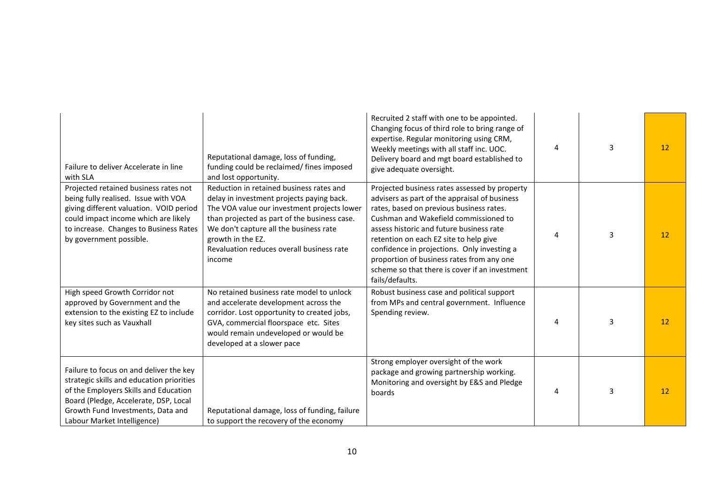| Failure to deliver Accelerate in line<br>with SLA                                                                                                                                                                                          | Reputational damage, loss of funding,<br>funding could be reclaimed/ fines imposed<br>and lost opportunity.                                                                                                                                                                                                | Recruited 2 staff with one to be appointed.<br>Changing focus of third role to bring range of<br>expertise. Regular monitoring using CRM,<br>Weekly meetings with all staff inc. UOC.<br>Delivery board and mgt board established to<br>give adequate oversight.                                                                                                                                                                           | 4              | 3 | 12 |
|--------------------------------------------------------------------------------------------------------------------------------------------------------------------------------------------------------------------------------------------|------------------------------------------------------------------------------------------------------------------------------------------------------------------------------------------------------------------------------------------------------------------------------------------------------------|--------------------------------------------------------------------------------------------------------------------------------------------------------------------------------------------------------------------------------------------------------------------------------------------------------------------------------------------------------------------------------------------------------------------------------------------|----------------|---|----|
| Projected retained business rates not<br>being fully realised. Issue with VOA<br>giving different valuation. VOID period<br>could impact income which are likely<br>to increase. Changes to Business Rates<br>by government possible.      | Reduction in retained business rates and<br>delay in investment projects paying back.<br>The VOA value our investment projects lower<br>than projected as part of the business case.<br>We don't capture all the business rate<br>growth in the EZ.<br>Revaluation reduces overall business rate<br>income | Projected business rates assessed by property<br>advisers as part of the appraisal of business<br>rates, based on previous business rates.<br>Cushman and Wakefield commissioned to<br>assess historic and future business rate<br>retention on each EZ site to help give<br>confidence in projections. Only investing a<br>proportion of business rates from any one<br>scheme so that there is cover if an investment<br>fails/defaults. | 4              | 3 | 12 |
| High speed Growth Corridor not<br>approved by Government and the<br>extension to the existing EZ to include<br>key sites such as Vauxhall                                                                                                  | No retained business rate model to unlock<br>and accelerate development across the<br>corridor. Lost opportunity to created jobs,<br>GVA, commercial floorspace etc. Sites<br>would remain undeveloped or would be<br>developed at a slower pace                                                           | Robust business case and political support<br>from MPs and central government. Influence<br>Spending review.                                                                                                                                                                                                                                                                                                                               | $\overline{4}$ | 3 | 12 |
| Failure to focus on and deliver the key<br>strategic skills and education priorities<br>of the Employers Skills and Education<br>Board (Pledge, Accelerate, DSP, Local<br>Growth Fund Investments, Data and<br>Labour Market Intelligence) | Reputational damage, loss of funding, failure<br>to support the recovery of the economy                                                                                                                                                                                                                    | Strong employer oversight of the work<br>package and growing partnership working.<br>Monitoring and oversight by E&S and Pledge<br>boards                                                                                                                                                                                                                                                                                                  | 4              | 3 | 12 |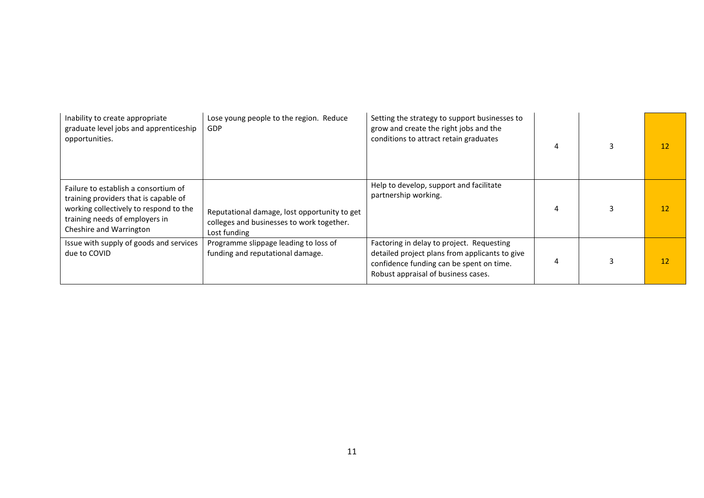| Inability to create appropriate<br>graduate level jobs and apprenticeship<br>opportunities.                                                                                          | Lose young people to the region. Reduce<br>GDP                                                            | Setting the strategy to support businesses to<br>grow and create the right jobs and the<br>conditions to attract retain graduates                                              |   | 12 |
|--------------------------------------------------------------------------------------------------------------------------------------------------------------------------------------|-----------------------------------------------------------------------------------------------------------|--------------------------------------------------------------------------------------------------------------------------------------------------------------------------------|---|----|
| Failure to establish a consortium of<br>training providers that is capable of<br>working collectively to respond to the<br>training needs of employers in<br>Cheshire and Warrington | Reputational damage, lost opportunity to get<br>colleges and businesses to work together.<br>Lost funding | Help to develop, support and facilitate<br>partnership working.                                                                                                                | 4 | 12 |
| Issue with supply of goods and services<br>due to COVID                                                                                                                              | Programme slippage leading to loss of<br>funding and reputational damage.                                 | Factoring in delay to project. Requesting<br>detailed project plans from applicants to give<br>confidence funding can be spent on time.<br>Robust appraisal of business cases. | 4 | 12 |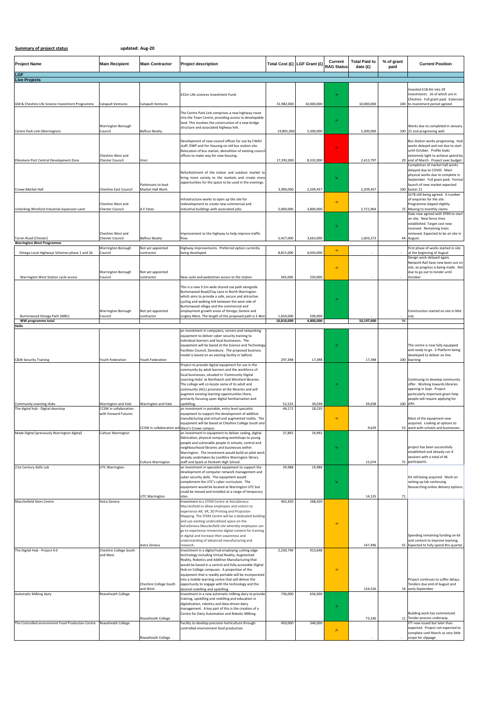| Summary of project status |  |  |
|---------------------------|--|--|
|                           |  |  |

**Summary of project status updated: Aug‐20**

| <b>Project Name</b>                                           | <b>Main Recipient</b>                        | <b>Main Contractor</b>                         | <b>Project description</b>                                                                                     | Total Cost (£)          | LGF Grant (£)        | Current<br><b>RAG Status</b> | <b>Total Paid to</b><br>date (£) | % of grant<br>paid | <b>Current Position</b>                                                      |
|---------------------------------------------------------------|----------------------------------------------|------------------------------------------------|----------------------------------------------------------------------------------------------------------------|-------------------------|----------------------|------------------------------|----------------------------------|--------------------|------------------------------------------------------------------------------|
| LGF<br><b>Live Projects</b>                                   |                                              |                                                |                                                                                                                |                         |                      |                              |                                  |                    |                                                                              |
|                                                               |                                              |                                                |                                                                                                                |                         |                      |                              |                                  |                    |                                                                              |
|                                                               |                                              |                                                | £31m Life sciences Investment Fund.                                                                            |                         |                      | $\rightarrow$                |                                  |                    | nvested £18.4m into 29<br>nvestments. 16 of which are in                     |
| GM & Cheshire Life Science Investment Programme               | <b>Catapult Ventures</b>                     | Catapult Ventures                              |                                                                                                                | 31,982,000              | 10,000,000           |                              | 10,000,000                       |                    | Cheshire. Full grant paid. Extension<br>100 to investment period agreed.     |
|                                                               |                                              |                                                | The Centre Park Link comprises a new highway route                                                             |                         |                      |                              |                                  |                    |                                                                              |
|                                                               |                                              |                                                | into the Town Centre, providing access to developable<br>land. This involves the construction of a new bridge  |                         |                      | $\rightarrow$                |                                  |                    |                                                                              |
| Centre Park Link (Warrington)                                 | Warrington Borough<br>Council                | <b>Balfour Beatty</b>                          | structure and associated highway link.                                                                         | 19,891,000              | 5,300,000            |                              | 5,300,000                        |                    | Works due to completed in January<br>100 21 and progressing well.            |
|                                                               |                                              |                                                | Development of new council offices for use by CWAV                                                             |                         |                      |                              |                                  |                    | Bus Station works progressing. Hub                                           |
|                                                               |                                              |                                                | staff, DWP and For Housing on old bus station site.                                                            |                         |                      | z                            |                                  |                    | works delayed and not due to start                                           |
|                                                               | Cheshire West and                            |                                                | Relocation of bus station, demolition of existing council<br>offices to make way for new housing.              |                         |                      |                              |                                  |                    | until October. Profile looks<br>extremely tight to achieve spend by          |
| Ellesmere Port Central Development Zone                       | Chester Council                              | Vinci                                          |                                                                                                                | 17,392,000              | 8,332,000            |                              | 2,412,797                        |                    | 29 end of March. Project over budget.<br>Completion of market hall works     |
|                                                               |                                              |                                                | Refurbishment of the indoor and outdoor market to                                                              |                         |                      |                              |                                  |                    | delayed due to COVID. Main<br>physical works due to complete in              |
|                                                               |                                              | Parkinsons to lead                             | bring more variety to the markets and create more<br>opportunities for the space to be used in the evenings.   |                         |                      | $\bar{\mathbf{M}}$           |                                  |                    | September. Full grant paid. Formal<br>launch of new market expected          |
| Crewe Market Hall                                             | Cheshire East Council                        | Market Hall Work.                              |                                                                                                                | 3,900,000               | 2,209,457            |                              | 2,209,457                        |                    | 100 Easter 21                                                                |
|                                                               |                                              |                                                | Infrastructure works to open up the site for                                                                   |                         |                      | $\rightarrow$                |                                  |                    | 5278 still being agreed. A number<br>of enquiries for the site.              |
| Unlocking Winsford Industrial expansion Land                  | Cheshire West and<br><b>Chester Council</b>  | A E Yates                                      | redevelopment to create new commercial and<br>industrial buildings with associated jobs.                       | 5,000,000               | 3,800,000            |                              | 2,721,964                        |                    | Programme slipped slightly.<br>72 Moving to monthly claims                   |
|                                                               |                                              |                                                |                                                                                                                |                         |                      |                              |                                  |                    | Date now agreed with SPEN to start<br>on site. New fence lines               |
|                                                               |                                              |                                                |                                                                                                                |                         |                      | $\rightarrow$                |                                  |                    | established. Target cost now<br>received. Remaining trees                    |
|                                                               | Cheshire West and                            |                                                | Improvement to the highway to help improve traffic                                                             |                         |                      |                              |                                  |                    | removed. Expected to be on site in                                           |
| Tarvin Road (Chester)<br><b>Warrington West Programme</b>     | <b>Chester Council</b>                       | <b>Balfour Beatty</b>                          | flow.                                                                                                          | 5,427,000               | 3,663,000            |                              | 1,603,273                        |                    | 44 August.                                                                   |
| Omega Local Highways Schemes phase 1 and 2b                   | Warrington Borough<br>Council                | Not yet appointed<br>contractor                | Highway improvements. Preferred option currently<br>being developed.                                           | 8,815,000               | 4,050,000            | $\rightarrow$                |                                  |                    | First phase of works started in site<br>at the beginning of August           |
|                                                               |                                              |                                                |                                                                                                                |                         |                      |                              |                                  |                    | Design work delayed again.<br>Network Rail have now been out on              |
|                                                               |                                              |                                                |                                                                                                                |                         |                      | $\rightarrow$                |                                  |                    | site, so progress is being made. Not                                         |
| Warrington West Station cycle access                          | Warrington Borough<br>Council                | Not yet appointed<br>contractor                | New cycle and pedestrian access to the station                                                                 | 345,000                 | 250,000              |                              |                                  |                    | due to go out to tender until<br>October.                                    |
|                                                               |                                              |                                                | This is a new 3.5m wide shared use path alongside                                                              |                         |                      |                              |                                  |                    |                                                                              |
|                                                               |                                              |                                                | Burtonwood Road/Clay Lane in North Warrington<br>which aims to provide a safe, secure and attractive           |                         |                      |                              |                                  |                    |                                                                              |
|                                                               |                                              |                                                | cycling and walking link between the west side of                                                              |                         |                      |                              |                                  |                    |                                                                              |
|                                                               | Warrington Borough                           | Not yet appointed                              | Burtonwood village and the commercial and<br>employment growth areas of Omega, Gemini and                      |                         |                      |                              |                                  |                    | Construction started on site in Mid                                          |
| Burtonwood Omega Path (WBC)<br>WW programme total             | Council                                      | contractor                                     | Lingley Mere. The length of the proposed path is 2.4km                                                         | 1,650,000<br>10,810,000 | 500,000<br>4,800,000 |                              | 10,197,000                       | 94                 | July                                                                         |
| Skills                                                        |                                              |                                                | an investment in computers, servers and networking                                                             |                         |                      |                              |                                  |                    |                                                                              |
|                                                               |                                              |                                                | equipment to deliver cyber security training to<br>individual learners and local businesses. The               |                         |                      |                              |                                  |                    |                                                                              |
|                                                               |                                              |                                                | equipment will be based at the Science and Technology                                                          |                         |                      |                              |                                  |                    | The centre is now fully equipped                                             |
|                                                               |                                              |                                                | Facilities Council, Daresbury. The proposed business<br>model is based on an existing facility in Salford.     |                         |                      |                              |                                  |                    | and ready to go. E-Platform being<br>developed to deliver on line            |
| <b>C&amp;W Security Training</b>                              | fouth Federation                             | Youth Federation                               | Project to provide digital equipment for use in the                                                            | 297,398                 | 17,398               |                              | 17,398                           |                    | 100 learning                                                                 |
|                                                               |                                              |                                                | community by adult learners and the workforce of<br>local businesses, situated in 'Community Digital           |                         |                      |                              |                                  |                    |                                                                              |
|                                                               |                                              |                                                | Learning Hubs' at Northwich and Winsford libraries.<br>The college will co-locate some of its adult and        |                         |                      |                              |                                  |                    | Continuing to develop community<br>offer. Working towards libraries          |
|                                                               |                                              |                                                | community (ACL) provision at the libraries and will                                                            |                         |                      |                              |                                  |                    | opening in Sept. Project                                                     |
|                                                               |                                              |                                                | augment existing learning opportunities there,<br>primarily focusing upon digital familiarisation and          |                         |                      |                              |                                  |                    | particularly important given help<br>people will require applying for        |
| Community Learning Hubs<br>The digital hub - Digital doorstep | Warrington and Vale<br>CCSW in collaboration | Warrington and Vale                            | upskilling.<br>an investment in portable, entry level specialist                                               | 52,525<br>44,172        | 39.038<br>18,235     |                              | 39,038                           |                    | 100 jobs.                                                                    |
|                                                               | with Forward Futures                         |                                                | equipment to support the development of additive<br>manufacturing and virtual and augmented reality. The       |                         |                      | $\rightarrow$                |                                  |                    | Most of the equipment now                                                    |
|                                                               |                                              |                                                | equipment will be based at Cheshire College South and                                                          |                         |                      |                              |                                  |                    | acquired. Looking at options to                                              |
| Made Digital (previously Warrington digital)                  | Culture Warrington                           | CCSW in collaboration wit[West's Crewe campus. | an investment in equipment to deliver coding, digital                                                          | 37,892                  | 19,992               |                              | 9,629                            |                    | 53 JWOrk With Schools and businesses.                                        |
|                                                               |                                              |                                                | fabrication, physical computing workshops to young<br>people and vulnerable people in schools, central and     |                         |                      |                              |                                  |                    |                                                                              |
|                                                               |                                              |                                                | neighbourhood libraries and businesses within<br>Warrington. The investment would build on pilot work          |                         |                      | $\rightarrow$                |                                  |                    | project has been successfully<br>established and already run 4               |
|                                                               |                                              | Culture Warrington                             | already undertaken by LiveWire Warrington library<br>staff and Spark at Penketh High School.                   |                         |                      |                              | 15,074                           |                    | sessions with a total of 46<br>75 participants.                              |
| 21st Century Skills Lab                                       | UTC Warrington                               |                                                | an investment in specialist equipment to support the                                                           | 39,988                  | 19,988               |                              |                                  |                    |                                                                              |
|                                                               |                                              |                                                | development of computer network management and<br>cyber security skills. The equipment would                   |                         |                      |                              |                                  |                    | Kit still being acquired. Work on                                            |
|                                                               |                                              |                                                | complement the UTC's cyber curriculum. The<br>equipment would be located at Warrington UTC but                 |                         |                      |                              |                                  |                    | setting up lab continuing.<br>Researching online delivery options.           |
|                                                               |                                              | UTC Warrington                                 | could be moved and installed at a range of temporary<br>sites.                                                 |                         |                      |                              | 14,135                           | 71                 |                                                                              |
| Macclesfield Stem Centre                                      | Astra Zeneca                                 |                                                | Investment in a STEM Centre at AstraZeneca                                                                     | 402,420                 | 268,420              |                              |                                  |                    |                                                                              |
|                                                               |                                              |                                                | Macclesfield to allow employees and visitors to<br>experience AR, VR, 3D Printing and Projection               |                         |                      |                              |                                  |                    |                                                                              |
|                                                               |                                              |                                                | Mapping. The STEM Centre will be a dedicated building<br>and use existing underutilised space on the           |                         |                      |                              |                                  |                    |                                                                              |
|                                                               |                                              |                                                | AstraZeneca Macclesfield site whereby employees can<br>go to experience immersive digital content for training |                         |                      | $\rightarrow$                |                                  |                    |                                                                              |
|                                                               |                                              |                                                | in digital and increase their awareness and                                                                    |                         |                      |                              |                                  |                    | Spending remaining funding on kit                                            |
|                                                               |                                              | Astra Zeneca                                   | understanding of advanced manufacturing and<br>research.                                                       |                         |                      |                              | 147,496                          |                    | and content to improve learning.<br>55 Expected to fully spend this quarter. |
| The Digital Hub - Project 4.0                                 | Cheshire College South<br>and West           |                                                | Investment in a digital hub employing cutting edge<br>technology including Virtual Reality, Augmented          | 2,230,749               | 913,648              |                              |                                  |                    |                                                                              |
|                                                               |                                              |                                                | Reality, Robotics and Additive Manufacturing that<br>would be based in a central and fully accessible Digital  |                         |                      |                              |                                  |                    |                                                                              |
|                                                               |                                              |                                                | Hub on College campuses. A proportion of the                                                                   |                         |                      | $\rightarrow$                |                                  |                    |                                                                              |
|                                                               |                                              |                                                | equipment that is readily portable will be incorporated<br>into a mobile learning centre that will deliver the |                         |                      |                              |                                  |                    | Project continues to suffer delays.                                          |
|                                                               |                                              | Cheshire College South<br>and West             | opportunity to engage with the technology and the<br>desired reskilling and upskilling.                        |                         |                      |                              | 124,526                          |                    | Tenders due end of August and<br>14 early September                          |
| <b>Automatic Milking dairy</b>                                | Reaseheath College                           |                                                | Investment in a new automatic milking dairy to provide<br>training, upskilling and reskilling and education in | 736,000                 | 656,000              |                              |                                  |                    |                                                                              |
|                                                               |                                              |                                                | digitalisation, robotics and data-driven dairy<br>management. A key part of this is the creation of a          |                         |                      | $\rightarrow$                |                                  |                    |                                                                              |
|                                                               |                                              |                                                | Centre for Dairy Automation and Robotic Milking.                                                               |                         |                      |                              |                                  |                    | Building work has commenced.                                                 |
| The Controlled environment Food Production Centre             | Reaseheath College                           | Reaseheath College                             | Facility to develop precision horticulture through                                                             | 450,000                 | 340,000              |                              | 73,330                           |                    | 11 Tender process underway.<br>ITT now issued but later than                 |
|                                                               |                                              |                                                | controlled environment food production.                                                                        |                         |                      | $\overline{\phantom{a}}$     |                                  |                    | expected. Project not expected to<br>complete until March so very little     |
|                                                               |                                              | Reaseheath College                             |                                                                                                                |                         |                      |                              |                                  |                    | scope for slippage                                                           |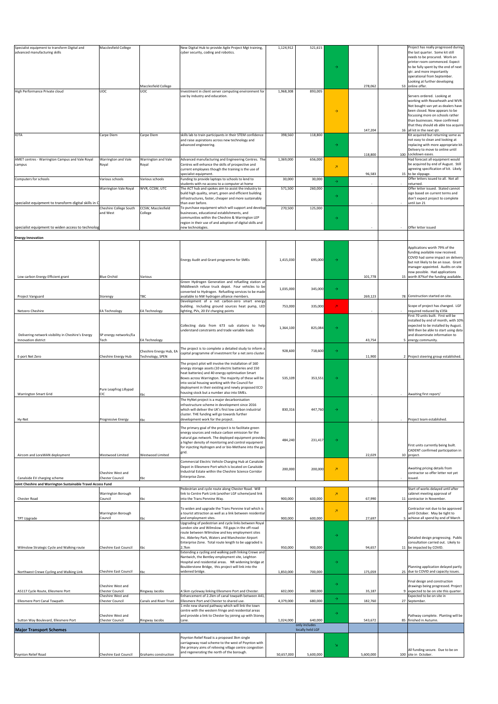| Specialist equipment to transform Digital and<br>advanced manufacturing skills | Macclesfield College                                                                |                                             | New Digital Hub to provide Agile Project Mgt training,<br>cyber security, coding and robotics.                                                                                                                                                                                                                              | 1,124,912            | 521,615                  |                                     |                    | Project has really progressed during<br>the last quarter. Some kit still<br>needs to be procured. Work on<br>printer room commenced. Expect<br>to be fully spent by the end of next<br>qtr. and more importantly<br>operational from September.<br>Looking at further developing |
|--------------------------------------------------------------------------------|-------------------------------------------------------------------------------------|---------------------------------------------|-----------------------------------------------------------------------------------------------------------------------------------------------------------------------------------------------------------------------------------------------------------------------------------------------------------------------------|----------------------|--------------------------|-------------------------------------|--------------------|----------------------------------------------------------------------------------------------------------------------------------------------------------------------------------------------------------------------------------------------------------------------------------|
| High Performance Private cloud                                                 | <b>UOC</b>                                                                          | Macclesfield College<br><b>UOC</b>          | Investment in client server computing environment for<br>use by industry and education.                                                                                                                                                                                                                                     | 1,968,308            | 893,005                  | $\rightarrow$                       | 278,062            | 53 online offer.<br>Servers ordered. Looking at<br>working with Reaseheath and WVR<br>Not bought van yet as dealers have<br>been closed. Now appears to be<br>focussing more on schools rather<br>than businesses. Have confirmed<br>that they should eb able toa acquire        |
| <b>IOTA</b>                                                                    | Carpe Diem                                                                          | Carpe Diem                                  | skills lab to train participants in their STEM confidence<br>and raise aspirations across new technology and<br>advanced engineering.                                                                                                                                                                                       | 398,560              | 118,800                  | $\rightarrow$                       | 147,204<br>118,800 | 16 all kit in the next qtr.<br>Kit acquired but returning some as<br>not easy to clean and looking at<br>replacing with more appropriate kit.<br>Delivery to move to online until<br>100 Lockdown eases.                                                                         |
| AMET centres - Warrington Campus and Vale Royal<br>campus                      | Warrington and Vale<br>Royal                                                        | Warrington and Vale<br>Royal                | Advanced manufacturing and Engineering Centres. The<br>Centres will enhance the skills of prospective and<br>current employees though the training is the use of<br>specialist equipment.                                                                                                                                   | 1,369,000            | 656,000                  | $\boldsymbol{\pi}$                  | 96,583             | Had forecast all equipment would<br>be acquired by end of August. Still<br>agreeing specification of kit. Likely<br>15 to be slippage.                                                                                                                                           |
| Computers for schools                                                          | Various schools<br>Warrington Vale Royal                                            | Various schools<br>WVR, CCSW, UTC           | Funding to provide laptops to schools to lend to<br>students with no access to a computer at home<br>The ACT hub and spokes aim to assist the industry to<br>build high quality, smart, green and efficient building                                                                                                        | 30,000<br>571,500    | 30,000<br>260,000        | $\rightarrow$                       |                    | Offer letters issued to all. Not all<br>returned.<br>Offer letter issued. Stated cannot<br>sign based on current terms and                                                                                                                                                       |
| specialist equipment to transform digital skills in C                          | Cheshire College South                                                              | CCSW, Macclesfield                          | infrastructures, faster, cheaper and more sustainably<br>than ever before.<br>To purchase equipment which will support and develop                                                                                                                                                                                          | 270,500              | 125,000                  | $\rightarrow$                       |                    | don't expect project to complete<br>until Jan 21                                                                                                                                                                                                                                 |
| specialist equipment to widen access to technolog                              | and West                                                                            | College                                     | businesses, educational establishments, and<br>communities within the Cheshire & Warrington LEP<br>region in their use of and adoption of digital skills and<br>new technologies                                                                                                                                            |                      |                          | $\rightarrow$                       |                    | Offer letter issued                                                                                                                                                                                                                                                              |
| <b>Energy Innovation</b>                                                       |                                                                                     |                                             |                                                                                                                                                                                                                                                                                                                             |                      |                          |                                     |                    |                                                                                                                                                                                                                                                                                  |
|                                                                                |                                                                                     |                                             | Energy Audit and Grant programme for SMEs                                                                                                                                                                                                                                                                                   | 1,415,030            | 695,000                  |                                     |                    | Applications worth 79% of the<br>funding available now received.<br>COVID had some impact on delivery<br>but not likely to be an issue. Grant<br>manager appointed. Audits on site<br>now possible. Had applications                                                             |
| Low carbon Energy Efficient grant                                              | <b>Blue Orchid</b>                                                                  | Various                                     | Green Hydrogen Generation and refuelling station at<br>Middlewich refuse truck depot. Four vehicles to be<br>converted to Hydrogen. Refuelling services to be made                                                                                                                                                          | 1,035,000            | 345,000                  | $\rightarrow$                       | 101,778            | 15 worth 87% of the funding available.                                                                                                                                                                                                                                           |
| Project Vanguard<br>Netzero Cheshire                                           | Storengy<br>A Technology                                                            | TBC<br>EA Technology                        | available to NW hydrogen alliance members.<br>Development of a net carbon-zero smart energy<br>building. Including ground sources heat pump, LED<br>lighting, PVs, 20 EV charging points                                                                                                                                    | 753,000              | 335,000                  | $\overline{\mathbf{z}}$             | 269,123            | 78 Construction started on site.<br>Scope of project has changed. LGF<br>required reduced by £35k<br>First 70 units built. First will be<br>installed by end of month, with 10%                                                                                                  |
| Delivering network visibility in Cheshire's Energy<br>Innovation district      | SP energy networks/Ea<br>Tech                                                       | <b>EA Technology</b>                        | Collecting data from 673 sub stations to help<br>understand constraints and trade variable loads                                                                                                                                                                                                                            | 1,364,100            | 825,084                  |                                     | 43,754             | expected to be installed by August.<br>Will then be able to start using data<br>and disseminate information to<br>5 energy community.                                                                                                                                            |
| E-port Net Zero                                                                | Cheshire Energy Hub                                                                 | Cheshire Energy Hub, EA<br>Technology, SPEN | he project is to complete a detailed study to inform<br>capital programme of investment for a net zero cluster<br>The project pilot will involve the installation of 160                                                                                                                                                    | 928,600              | 718,600                  | $\rightarrow$                       | 11,900             | 2 Project steering group established                                                                                                                                                                                                                                             |
| <b>Warrington Smart Grid</b>                                                   | Pure Leapfrog Lillypad<br>CIC                                                       | tbc                                         | energy storage assets (10 electric batteries and 150<br>heat batteries) and 40 energy optimisation Smart<br>Boxes across Warrington. The majority of these will be<br>into social housing working with the Council for<br>deployment in their existing and newly proposed ECO<br>housing stock but a number also into SMEs. | 535,109              | 353,551                  |                                     |                    | Awaiting first report/                                                                                                                                                                                                                                                           |
|                                                                                |                                                                                     |                                             | The HyNet project is a major decarbonisation<br>infrastructure scheme in development since 2016<br>which will deliver the UK's first low carbon industrial<br>cluster. THE funding will go towards further                                                                                                                  | 830,316              | 447,760                  | $\rightarrow$                       |                    |                                                                                                                                                                                                                                                                                  |
| Hy-Net                                                                         | Progressive Energy                                                                  | tbc                                         | development work for the project.<br>The primary goal of the project is to facilitate green                                                                                                                                                                                                                                 |                      |                          |                                     |                    | Project team established.                                                                                                                                                                                                                                                        |
| Aircom and LoraWAN deployment                                                  | Westwood Limited                                                                    | Westwood Limited                            | energy sources and reduce carbon emission for the<br>natural gas network. The deployed equipment provides<br>a higher density of monitoring and control equipment<br>for injecting Hydrogen and or bio-Methane into the gas<br>grid.                                                                                        | 484,240              | 231,417                  |                                     | 22,029             | First units currently being built.<br>CADENT confirmed participation in<br>10 project.                                                                                                                                                                                           |
| Canalside EV charging scheme                                                   | Cheshire West and<br>Chester Council                                                | tbc                                         | Commercial Electric Vehicle Charging Hub at Canalside<br>Depot in Ellesmere Port which is located on Canalside<br>Industrial Estate within the Cheshire Science Corridor<br>Enterprise Zone.                                                                                                                                | 200,000              | 200,000                  | $\boldsymbol{\pi}$                  |                    | Awaiting pricing details from<br>contractor so offer letter not yet<br>issued.                                                                                                                                                                                                   |
| Joint Cheshire and Warrington Sustainable Travel Access Fund                   |                                                                                     |                                             | Pedestrian and cycle route along Chester Road. Will                                                                                                                                                                                                                                                                         |                      |                          |                                     |                    | Start of works delayed until after                                                                                                                                                                                                                                               |
| Chester Road                                                                   | Warrington Borough<br>Council                                                       | tbc                                         | link to Centre Park Link (another LGF scheme)and link<br>into the Trans Pennine Way.                                                                                                                                                                                                                                        | 900,000              | 600,000                  | $\overline{\phantom{a}}$            | 67,990             | cabinet meeting approval of<br>11 contractor in November.                                                                                                                                                                                                                        |
| <b>TPT Upgrade</b>                                                             | Warrington Borough<br>Council                                                       | tbc                                         | To widen and upgrade the Trans Pennine trail which is<br>a tourist attraction as well as a link between residential<br>and employment sites.<br>Upgrading of pedestrian and cycle links between Royal<br>London site and Wilmslow. Fill gaps in the off-road<br>route between Wilmslow and key employment sites             | 900,000              | 600,000                  | $\boldsymbol{\pi}$<br>$\rightarrow$ | 27,697             | Contractor not due to be approved<br>until October. May be tight to<br>5 achieve all spend by end of March                                                                                                                                                                       |
| Wilmslow Strategic Cycle and Walking route                                     | Cheshire East Council                                                               | tbc                                         | Inc. Alderley Park, Waters and Manchester Airport<br>Enterprise Zone. Total route length to be upgraded is<br>2.7km                                                                                                                                                                                                         | 950,000              | 900,000                  |                                     | 94,657             | Detailed design progressing. Public<br>consultation carried out. Likely to<br>11 be impacted by COVID.                                                                                                                                                                           |
|                                                                                |                                                                                     |                                             | Extending a cycling and walking path linking Crewe and<br>Nantwich, the Bentley employment site, Leighton<br>Hospital and residential areas. NR widening bridge at<br>Boulderstone Bridge, this project will link into the                                                                                                  |                      |                          | $\rightarrow$                       |                    | Planning application delayed partly                                                                                                                                                                                                                                              |
| Northwest Crewe Cycling and Walking Link                                       | Cheshire East Council                                                               | tbc                                         | widened bridge.                                                                                                                                                                                                                                                                                                             | 1,850,000            | 700,000                  |                                     | 175,059            | 25 due to COVID and capacity issues.<br>Final design and construction                                                                                                                                                                                                            |
| A5117 Cycle Route, Ellesmere Port<br>Ellesmere Port Canal Towpath              | Cheshire West and<br>Chester Council<br>Cheshire West and<br><b>Chester Council</b> | Ringway Jacobs<br>Canals and River Trust    | 4.5km cycleway linking Ellesmere Port and Chester.<br>Enhancement of 2.2km of canal towpath between A41,<br>Ellesmere Port and Chester to shared use.                                                                                                                                                                       | 602,000<br>4,379,000 | 380,000<br>680,000       | $\rightarrow$<br>→                  | 35,187<br>182,760  | drawings being progressed. Project<br>9 expected to be on site this quarter.<br>Expected to be on site in<br>27 September.                                                                                                                                                       |
|                                                                                | Cheshire West and                                                                   |                                             | 1 mile new shared pathway which will link the town<br>centre with the western fringe and residential areas<br>and provide a link to Chester by joining up with Stoney                                                                                                                                                       |                      |                          | $\rightarrow$                       |                    | Pathway complete. Planting will be                                                                                                                                                                                                                                               |
| Sutton Way Boulevard, Ellesmere Port                                           | Chester Council                                                                     | Ringway Jacobs                              | Lane.                                                                                                                                                                                                                                                                                                                       | 1,024,000            | 640,000<br>only includes |                                     | 543,672            | 85 finished in Autumn.                                                                                                                                                                                                                                                           |
| <b>Major Transport Schemes</b>                                                 |                                                                                     |                                             | Poynton Relief Road is a proposed 3km single                                                                                                                                                                                                                                                                                |                      | locally held LGF         |                                     |                    |                                                                                                                                                                                                                                                                                  |
| Poynton Relief Road                                                            | Cheshire East Council                                                               | Grahams construction                        | carriageway road scheme to the west of Poynton with<br>the primary aims of relieving village centre congestion<br>and regenerating the north of the borough.                                                                                                                                                                | 50,657,000           | 5,600,000                | $\mathbf{N}$                        | 5,600,000          | All funding secure. Due to be on<br>100 site in October.                                                                                                                                                                                                                         |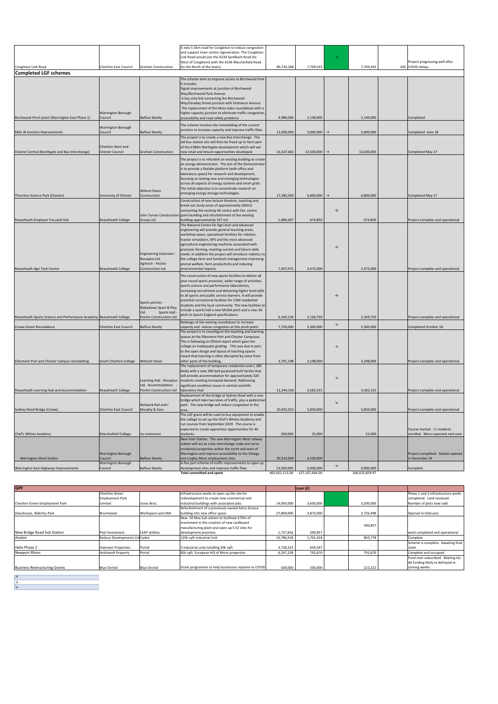|                                                                      |                                      |                                | A new 5.5km road for Congleton to reduce congestion                                                            |            |                               |                |                |                                                     |
|----------------------------------------------------------------------|--------------------------------------|--------------------------------|----------------------------------------------------------------------------------------------------------------|------------|-------------------------------|----------------|----------------|-----------------------------------------------------|
|                                                                      |                                      |                                | and support town centre regeneration. The Congleton                                                            |            |                               |                |                |                                                     |
|                                                                      |                                      |                                | Link Road would join the A534 Sandbach Road (to                                                                |            |                               |                |                |                                                     |
|                                                                      |                                      |                                | West of Congleton) with the A536 Macclesfield Road                                                             |            |                               |                |                | Project progressing well after                      |
| Congleton Link Road                                                  | <b>Cheshire East Council</b>         | <b>Graham Construction</b>     | (to the North of the town).                                                                                    | 90,743,268 | 7,709,543                     |                | 7,709,543      | 100 COVID delays.                                   |
| <b>Completed LGF schemes</b>                                         |                                      |                                |                                                                                                                |            |                               |                |                |                                                     |
|                                                                      |                                      |                                | The scheme aims to improve access to Birchwood Park.<br>It includes:                                           |            |                               |                |                |                                                     |
|                                                                      |                                      |                                | Signal improvements at junction of Birchwood                                                                   |            |                               |                |                |                                                     |
|                                                                      |                                      |                                | Way/Birchwood Park Avenue                                                                                      |            |                               |                |                |                                                     |
|                                                                      |                                      |                                | A bus only link connecting the Birchwood                                                                       |            |                               |                |                |                                                     |
|                                                                      |                                      |                                | Way/Faraday Street junction with Ordnance Avenue                                                               |            |                               |                |                |                                                     |
|                                                                      |                                      |                                | The replacement of the Moss Gate roundabout with a                                                             |            |                               |                |                |                                                     |
|                                                                      | <b>Warrington Borough</b>            |                                | higher capacity junction to eliminate traffic congestion                                                       |            |                               |                |                |                                                     |
| Birchwood Pinch point (Warrington East Phase 1)                      | Council                              | <b>Balfour Beatty</b>          | accessibility and road safety problems                                                                         | 4,986,000  | 2,140,000                     |                | 2,140,000      | Completed                                           |
|                                                                      | Warrington Borough                   |                                | The scheme involves the remodelling of the current                                                             |            |                               |                |                |                                                     |
| M62 J8 Junction Improvements                                         | Council                              | <b>Balfour Beatty</b>          | junction to increase capacity and improve traffic flow                                                         | 11,690,000 | 5,000,000                     |                | 5,000,000      | Completed June 18                                   |
|                                                                      |                                      |                                | The project is to create a new Bus Interchange. The                                                            |            |                               |                |                |                                                     |
|                                                                      |                                      |                                | old bus station site will then be freed up to form part                                                        |            |                               |                |                |                                                     |
|                                                                      | Cheshire West and                    |                                | of the £380m Northgate development which will see                                                              |            |                               |                |                |                                                     |
| Chester Central (Northgate and Bus Interchange)                      | <b>Chester Council</b>               | <b>Graham Construction</b>     | ew retail and leisure opportunities developed                                                                  | 21,637,682 | 13,500,000                    |                | 13,500,000     | Completed May 17                                    |
|                                                                      |                                      |                                | The project is to refurbish an existing building to create                                                     |            |                               |                |                |                                                     |
|                                                                      |                                      |                                | an energy demonstrator. The aim of the Demonstrator                                                            |            |                               |                |                |                                                     |
|                                                                      |                                      |                                | is to provide a flexible platform (with office and                                                             |            |                               |                |                |                                                     |
|                                                                      |                                      |                                | aboratory space) for research and development,                                                                 |            |                               |                |                |                                                     |
|                                                                      |                                      |                                | focusing on testing new and emerging technologies                                                              |            |                               |                |                |                                                     |
|                                                                      |                                      |                                | across all aspects of energy systems and smart grids.<br>The initial objective is to concentrate research on   |            |                               |                |                |                                                     |
|                                                                      |                                      | <b>Wilmot Dixon</b>            | emerging energy storage technologies.                                                                          |            |                               |                |                |                                                     |
| Thornton Science Park (Chester)                                      | University of Chester                | Construction                   | Construction of new lecture theatres, teaching and                                                             | 17,382,500 | 6,800,000                     |                | 6,800,000      | Completed May 17                                    |
|                                                                      |                                      |                                | break out study areas of approximately 500m2                                                                   |            |                               |                |                |                                                     |
|                                                                      |                                      |                                | connecting the existing HE centre with the centre                                                              |            |                               | $\rightarrow$  |                |                                                     |
|                                                                      |                                      | John Turner Construction       | point building and refurbishment of the existing                                                               |            |                               |                |                |                                                     |
| Reaseheath Employer Focused Hub                                      | <b>Reaseheath College</b>            | Group Ltd.                     | building approximately 337 m2                                                                                  | 1,889,307  | 674,850                       |                | 674,850        | Project complete and operational                    |
|                                                                      |                                      |                                | The National Centre for Agri-tech and advanced                                                                 |            |                               |                |                |                                                     |
|                                                                      |                                      |                                | ngineering will provide general teaching areas,                                                                |            |                               |                |                |                                                     |
|                                                                      |                                      |                                | workshop space, specialised facilities for robotics,                                                           |            |                               |                |                |                                                     |
|                                                                      |                                      |                                | tractor simulation, GPS and the most advanced                                                                  |            |                               |                |                |                                                     |
|                                                                      |                                      |                                | agricultural engineering machines associated with<br>precision farming, meeting current and future skills      |            |                               | $\rightarrow$  |                |                                                     |
|                                                                      |                                      | <b>Engineering Extension -</b> | needs. In addition the project will introduce robotics to                                                      |            |                               |                |                |                                                     |
|                                                                      |                                      | Novaplus Ltd.                  | the college farm and livestock management improving                                                            |            |                               |                |                |                                                     |
|                                                                      |                                      | Agritech - Pochin              | animal welfare, farm productivity and reducing                                                                 |            |                               |                |                |                                                     |
| Reaseheath Agri Tech Centre                                          | <b>Reaseheath College</b>            | Construction Ltd.              | environmental impacts.                                                                                         | 7,457,972  | 2,475,000                     |                | 2,475,000      | Project complete and operational                    |
|                                                                      |                                      |                                | The construction of new sports facilities to deliver all                                                       |            |                               |                |                |                                                     |
|                                                                      |                                      |                                | year round sports provision, wider range of activities,                                                        |            |                               |                |                |                                                     |
|                                                                      |                                      |                                | sports science and performance laboratories,                                                                   |            |                               |                |                |                                                     |
|                                                                      |                                      |                                | ocreasing recruitment and delivering higher level skills                                                       |            |                               |                |                |                                                     |
|                                                                      |                                      |                                | to all sports and public service learners. It will provide                                                     |            |                               | $\rightarrow$  |                |                                                     |
|                                                                      |                                      | Sports pitches -               | essential recreational facilities for 1200 residential                                                         |            |                               |                |                |                                                     |
|                                                                      |                                      | Blakedown Sport & Play         | students and the local community. The new facilities to                                                        |            |                               |                |                |                                                     |
|                                                                      |                                      | Ltd.<br>Sports Hall -          | nclude a sports hall a new MUGA pitch and a new 3G<br>pitch to Sports England specifications.                  |            |                               |                |                |                                                     |
| Reaseheath Sports Science and Performance Academy Reaseheath College |                                      | Pochin Construction Ltd.       |                                                                                                                | 6.169.154  | 2,169,750                     |                | 2,169,750      | Project complete and operational                    |
| Crewe Green Roundabout                                               | <b>Cheshire East Council</b>         | <b>Balfour Beatty</b>          | edesign of the existing roundabout to increase                                                                 | 7,750,000  | 3,300,000                     | $\rightarrow$  | 3,300,000      | Completed October 18.                               |
|                                                                      |                                      |                                | capacity and reduce congestion at this pinch point.<br>The project is to reconfigure the teaching and learning |            |                               |                |                |                                                     |
|                                                                      |                                      |                                | paces at the Ellesmere Port and Chester Campuses.                                                              |            |                               |                |                |                                                     |
|                                                                      |                                      |                                | This is following an Ofsted report which gave the                                                              |            |                               |                |                |                                                     |
|                                                                      |                                      |                                | college an Inadequate grading. This was due in part,                                                           |            |                               | $\rightarrow$  |                |                                                     |
|                                                                      |                                      |                                | to the open design and layout of teaching spaces                                                               |            |                               |                |                |                                                     |
|                                                                      |                                      |                                | meant that learning is often disrupted by noise from                                                           |            |                               |                |                |                                                     |
| Ellesmere Port and Chester Campus remodelling                        | South Cheshire College Wilmott Dixon |                                | other parts of the building.                                                                                   | 3,791,198  | 3,198,000                     |                | 3,198,000      | Project complete and operational                    |
|                                                                      |                                      |                                | The replacement of temporary residential units (180                                                            |            |                               |                |                |                                                     |
|                                                                      |                                      |                                | eds) with a new 200 bed purposed built facility that<br>will provide accommodation for approximately 320       |            |                               |                |                |                                                     |
|                                                                      |                                      | Learning Hub - Novaplus        | students meeting increased demand. Addressing                                                                  |            |                               | $\rightarrow$  |                |                                                     |
|                                                                      |                                      | Ltd. Accommodation             | ignificant condition issues in central scientific                                                              |            |                               |                |                |                                                     |
| Reaseheath Learning Hub and Accommodation                            | <b>Reaseheath College</b>            | Pochin Construction Ltd        | laboratory Hub                                                                                                 | 11,244,158 | 3,582,315                     |                | 3,582,315      | Project complete and operational                    |
|                                                                      |                                      |                                | Replacement of the bridge at Sydney Road with a new                                                            |            |                               |                |                |                                                     |
|                                                                      |                                      |                                | bridge which take two lanes of traffic, plus a pedestrian                                                      |            |                               | $\overline{a}$ |                |                                                     |
|                                                                      |                                      | Network Rail and J             | path. The new bridge will reduce congestion in the                                                             |            |                               |                |                |                                                     |
| Sydney Road Bridge (Crewe)                                           | <b>Cheshire East Council</b>         | Murphy & Sons                  | The LGF grant will be used to buy equipment to enable                                                          | 10,452,553 | 5,850,000                     |                | 5,850,000      | Project complete and operational                    |
|                                                                      |                                      |                                | the college to set up the Chef's Whites Academy and                                                            |            |                               |                |                |                                                     |
|                                                                      |                                      |                                | run courses from September 2019. The course is                                                                 |            |                               |                |                |                                                     |
|                                                                      |                                      |                                | expected to create apprentice opportunities for 40                                                             |            |                               |                |                | Course started. 11 students                         |
| Chef's Whites Academy                                                | Macclesfield College                 | no contractor                  | students                                                                                                       | 200,000    | 25,000                        |                | 25,000         | enrolled. More expected next year                   |
|                                                                      |                                      |                                | New train Station. The new Warrington West railway                                                             |            |                               |                |                |                                                     |
|                                                                      |                                      |                                | station will act as a key interchange node and serve                                                           |            |                               |                |                |                                                     |
|                                                                      |                                      |                                | esidential properties within the north and west of                                                             |            |                               |                |                |                                                     |
| <b>Warrington West Station</b>                                       | <b>Warrington Borough</b><br>Council | <b>Balfour Beatty</b>          | Warrington and improve accessibility to the Omega                                                              | 20.524.000 | 6.530.000                     |                |                | Project completed. Station opened<br>in December 19 |
|                                                                      | Warrington Borough                   |                                | and Lingley Mere employment sites.<br>A five part scheme of traffic improvements to open up                    |            |                               |                |                |                                                     |
| Warrington East Highways Improvements                                | Council                              | <b>Balfour Beatty</b>          | development sites and improve traffic flow.                                                                    | 13,500,000 | 6,900,000                     | $\rightarrow$  | 6,900,000      | Complete                                            |
|                                                                      |                                      |                                | <b>Total committed and spent</b>                                                                               |            | 402,651,111.00 127,107,466.00 |                | 106,025,829.97 |                                                     |

| <b>GPF</b>                           |                              |                       |                                                     | Loan $(f)$ |           |           |                                     |
|--------------------------------------|------------------------------|-----------------------|-----------------------------------------------------|------------|-----------|-----------|-------------------------------------|
|                                      | Cheshire Green               |                       | Infrastructure works to open up the site for        |            |           |           | Phase 1 and 2 infrastructure works  |
|                                      | <b>Employment Park</b>       |                       | redevelopment to create new commercial and          |            |           |           | completed. Land revalued.           |
| Cheshire Green Employment Park       | Limited                      | Jones Bros.           | industrial buildings with associated jobs.          | 14,000,000 | 3,650,000 | 3.200.000 | Number of plots now sold.           |
|                                      |                              |                       | Refurbishment of a previously owned Astra Zeneca    |            |           |           |                                     |
| Glasshouse, Alderley Park            | Bruntwood                    | Workspace and GMI     | building into new office space.                     | 27,800,000 | 3.873.000 | 2,726,498 | Opened in February                  |
|                                      |                              |                       | New 10 Mya Sub station to facilitate £70m of        |            |           |           |                                     |
|                                      |                              |                       | investment in the creation of new cardboard         |            |           | 590.857   |                                     |
|                                      |                              |                       | manufacturing plant and open up 5 EZ sites for      |            |           |           |                                     |
| New Bridge Road Sub Station          | Peel Investment              | <b>LEAP</b> utilities | development premises                                | 1,737,816  | 590.857   |           | work completed and operational      |
| Aviator                              | Redsun Developments LtdCadex |                       | 125k saft industrial Unit                           | 10,786,918 | 1,701,418 | 803,778   | Complete                            |
|                                      |                              |                       |                                                     |            |           |           | Scheme is complete. Awaiting final  |
| Helix Phase 2                        | Gaerwen Properties           | Portal                | 3 industrial units totalling 30k sqft               | 3,728,223  | 659.347   |           | claim                               |
| Newport Rhino                        | Andrews4 Property            | Portal                | 82k soft European HQ of Rhino properties            | 6,187,228  | 792.670   | 792.670   | Complete and occupied               |
|                                      |                              |                       |                                                     |            |           |           | Fund over subscribed. Waiting list. |
|                                      |                              |                       |                                                     |            |           |           | All funding likely to defrayed in   |
| <b>Business Restructuring Grants</b> | <b>Blue Orchid</b>           | <b>Blue Orchid</b>    | Grant programme to help businesses reponse to COVID | 500,000    | 500,000   | 222.222   | coming weeks.                       |

↗ → ↘